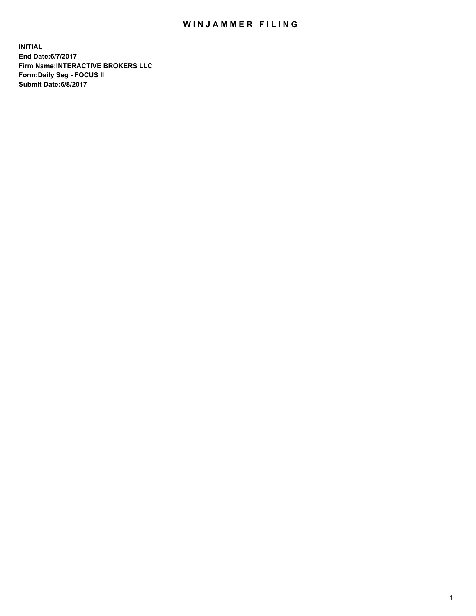## WIN JAMMER FILING

**INITIAL End Date:6/7/2017 Firm Name:INTERACTIVE BROKERS LLC Form:Daily Seg - FOCUS II Submit Date:6/8/2017**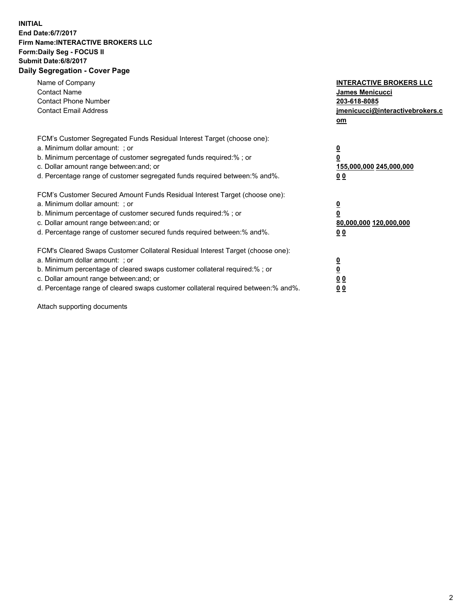## **INITIAL End Date:6/7/2017 Firm Name:INTERACTIVE BROKERS LLC Form:Daily Seg - FOCUS II Submit Date:6/8/2017 Daily Segregation - Cover Page**

| Name of Company<br><b>Contact Name</b><br><b>Contact Phone Number</b><br><b>Contact Email Address</b>                                                                                                                                                                                                                          | <b>INTERACTIVE BROKERS LLC</b><br><b>James Menicucci</b><br>203-618-8085<br>jmenicucci@interactivebrokers.c<br>om |
|--------------------------------------------------------------------------------------------------------------------------------------------------------------------------------------------------------------------------------------------------------------------------------------------------------------------------------|-------------------------------------------------------------------------------------------------------------------|
| FCM's Customer Segregated Funds Residual Interest Target (choose one):<br>a. Minimum dollar amount: ; or<br>b. Minimum percentage of customer segregated funds required:% ; or<br>c. Dollar amount range between: and; or<br>d. Percentage range of customer segregated funds required between: % and %.                       | $\overline{\mathbf{0}}$<br>0<br>155,000,000 245,000,000<br>00                                                     |
| FCM's Customer Secured Amount Funds Residual Interest Target (choose one):<br>a. Minimum dollar amount: ; or<br>b. Minimum percentage of customer secured funds required:%; or<br>c. Dollar amount range between: and; or<br>d. Percentage range of customer secured funds required between: % and %.                          | $\overline{\mathbf{0}}$<br>0<br>80,000,000 120,000,000<br>00                                                      |
| FCM's Cleared Swaps Customer Collateral Residual Interest Target (choose one):<br>a. Minimum dollar amount: ; or<br>b. Minimum percentage of cleared swaps customer collateral required:% ; or<br>c. Dollar amount range between: and; or<br>d. Percentage range of cleared swaps customer collateral required between:% and%. | $\overline{\mathbf{0}}$<br>$\overline{\mathbf{0}}$<br>00<br>0 <sub>0</sub>                                        |

Attach supporting documents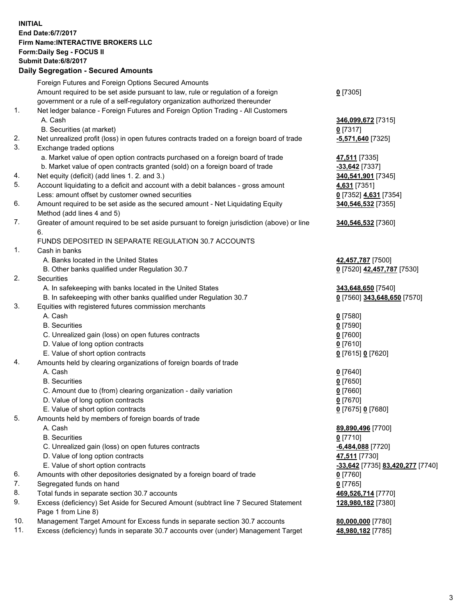## **INITIAL End Date:6/7/2017 Firm Name:INTERACTIVE BROKERS LLC Form:Daily Seg - FOCUS II Submit Date:6/8/2017 Daily Segregation - Secured Amounts**

|     | Foreign Futures and Foreign Options Secured Amounts                                         |                                  |
|-----|---------------------------------------------------------------------------------------------|----------------------------------|
|     | Amount required to be set aside pursuant to law, rule or regulation of a foreign            | $0$ [7305]                       |
|     | government or a rule of a self-regulatory organization authorized thereunder                |                                  |
| 1.  | Net ledger balance - Foreign Futures and Foreign Option Trading - All Customers             |                                  |
|     | A. Cash                                                                                     | 346,099,672 [7315]               |
|     | B. Securities (at market)                                                                   | $0$ [7317]                       |
| 2.  | Net unrealized profit (loss) in open futures contracts traded on a foreign board of trade   | -5,571,640 <sup>[7325]</sup>     |
| 3.  | Exchange traded options                                                                     |                                  |
|     | a. Market value of open option contracts purchased on a foreign board of trade              | 47,511 [7335]                    |
|     | b. Market value of open contracts granted (sold) on a foreign board of trade                | -33,642 [7337]                   |
| 4.  | Net equity (deficit) (add lines 1.2. and 3.)                                                | 340,541,901 [7345]               |
| 5.  | Account liquidating to a deficit and account with a debit balances - gross amount           | 4,631 [7351]                     |
|     | Less: amount offset by customer owned securities                                            | 0 [7352] 4,631 [7354]            |
| 6.  | Amount required to be set aside as the secured amount - Net Liquidating Equity              | 340,546,532 [7355]               |
|     | Method (add lines 4 and 5)                                                                  |                                  |
| 7.  | Greater of amount required to be set aside pursuant to foreign jurisdiction (above) or line | 340,546,532 [7360]               |
|     | 6.                                                                                          |                                  |
|     | FUNDS DEPOSITED IN SEPARATE REGULATION 30.7 ACCOUNTS                                        |                                  |
| 1.  | Cash in banks                                                                               |                                  |
|     | A. Banks located in the United States                                                       | 42,457,787 [7500]                |
|     | B. Other banks qualified under Regulation 30.7                                              | 0 [7520] 42,457,787 [7530]       |
| 2.  | Securities                                                                                  |                                  |
|     | A. In safekeeping with banks located in the United States                                   | 343,648,650 [7540]               |
|     | B. In safekeeping with other banks qualified under Regulation 30.7                          | 0 [7560] 343,648,650 [7570]      |
| 3.  | Equities with registered futures commission merchants                                       |                                  |
|     | A. Cash                                                                                     | $0$ [7580]                       |
|     | <b>B.</b> Securities                                                                        | $0$ [7590]                       |
|     | C. Unrealized gain (loss) on open futures contracts                                         | $0$ [7600]                       |
|     | D. Value of long option contracts                                                           | $0$ [7610]                       |
|     | E. Value of short option contracts                                                          | 0 [7615] 0 [7620]                |
| 4.  | Amounts held by clearing organizations of foreign boards of trade                           |                                  |
|     | A. Cash                                                                                     | $0$ [7640]                       |
|     | <b>B.</b> Securities                                                                        | $0$ [7650]                       |
|     | C. Amount due to (from) clearing organization - daily variation                             | $0$ [7660]                       |
|     | D. Value of long option contracts                                                           | $0$ [7670]                       |
|     | E. Value of short option contracts                                                          | 0 [7675] 0 [7680]                |
| 5.  | Amounts held by members of foreign boards of trade                                          |                                  |
|     | A. Cash                                                                                     | 89,890,496 [7700]                |
|     | <b>B.</b> Securities                                                                        | $0$ [7710]                       |
|     | C. Unrealized gain (loss) on open futures contracts                                         | -6,484,088 [7720]                |
|     | D. Value of long option contracts                                                           | 47,511 [7730]                    |
|     | E. Value of short option contracts                                                          | -33,642 [7735] 83,420,277 [7740] |
| 6.  | Amounts with other depositories designated by a foreign board of trade                      | $0$ [7760]                       |
| 7.  | Segregated funds on hand                                                                    | $0$ [7765]                       |
| 8.  | Total funds in separate section 30.7 accounts                                               | 469,526,714 [7770]               |
| 9.  | Excess (deficiency) Set Aside for Secured Amount (subtract line 7 Secured Statement         | 128,980,182 [7380]               |
|     | Page 1 from Line 8)                                                                         |                                  |
| 10. | Management Target Amount for Excess funds in separate section 30.7 accounts                 | 80,000,000 [7780]                |
| 11. | Excess (deficiency) funds in separate 30.7 accounts over (under) Management Target          | 48,980,182 [7785]                |
|     |                                                                                             |                                  |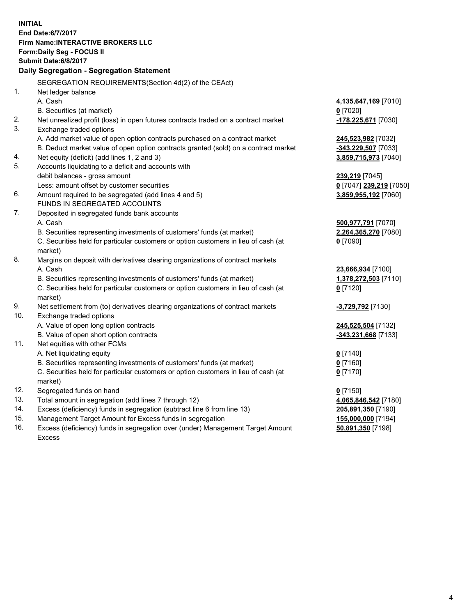**INITIAL End Date:6/7/2017 Firm Name:INTERACTIVE BROKERS LLC Form:Daily Seg - FOCUS II Submit Date:6/8/2017 Daily Segregation - Segregation Statement** SEGREGATION REQUIREMENTS(Section 4d(2) of the CEAct) 1. Net ledger balance A. Cash **4,135,647,169** [7010] B. Securities (at market) **0** [7020] 2. Net unrealized profit (loss) in open futures contracts traded on a contract market **-178,225,671** [7030] 3. Exchange traded options A. Add market value of open option contracts purchased on a contract market **245,523,982** [7032] B. Deduct market value of open option contracts granted (sold) on a contract market **-343,229,507** [7033] 4. Net equity (deficit) (add lines 1, 2 and 3) **3,859,715,973** [7040] 5. Accounts liquidating to a deficit and accounts with debit balances - gross amount **239,219** [7045] Less: amount offset by customer securities **0** [7047] **239,219** [7050] 6. Amount required to be segregated (add lines 4 and 5) **3,859,955,192** [7060] FUNDS IN SEGREGATED ACCOUNTS 7. Deposited in segregated funds bank accounts A. Cash **500,977,791** [7070] B. Securities representing investments of customers' funds (at market) **2,264,365,270** [7080] C. Securities held for particular customers or option customers in lieu of cash (at market) **0** [7090] 8. Margins on deposit with derivatives clearing organizations of contract markets A. Cash **23,666,934** [7100] B. Securities representing investments of customers' funds (at market) **1,378,272,503** [7110] C. Securities held for particular customers or option customers in lieu of cash (at market) **0** [7120] 9. Net settlement from (to) derivatives clearing organizations of contract markets **-3,729,792** [7130] 10. Exchange traded options A. Value of open long option contracts **245,525,504** [7132] B. Value of open short option contracts **-343,231,668** [7133] 11. Net equities with other FCMs A. Net liquidating equity **0** [7140] B. Securities representing investments of customers' funds (at market) **0** [7160] C. Securities held for particular customers or option customers in lieu of cash (at market) **0** [7170] 12. Segregated funds on hand **0** [7150] 13. Total amount in segregation (add lines 7 through 12) **4,065,846,542** [7180] 14. Excess (deficiency) funds in segregation (subtract line 6 from line 13) **205,891,350** [7190] 15. Management Target Amount for Excess funds in segregation **155,000,000** [7194] **50,891,350** [7198]

16. Excess (deficiency) funds in segregation over (under) Management Target Amount Excess